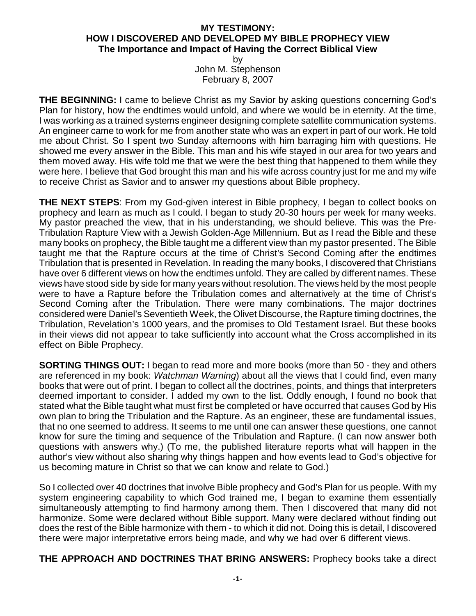## **MY TESTIMONY: HOW I DISCOVERED AND DEVELOPED MY BIBLE PROPHECY VIEW The Importance and Impact of Having the Correct Biblical View**

by John M. Stephenson February 8, 2007

**THE BEGINNING:** I came to believe Christ as my Savior by asking questions concerning God's Plan for history, how the endtimes would unfold, and where we would be in eternity. At the time, I was working as a trained systems engineer designing complete satellite communication systems. An engineer came to work for me from another state who was an expert in part of our work. He told me about Christ. So I spent two Sunday afternoons with him barraging him with questions. He showed me every answer in the Bible. This man and his wife stayed in our area for two years and them moved away. His wife told me that we were the best thing that happened to them while they were here. I believe that God brought this man and his wife across country just for me and my wife to receive Christ as Savior and to answer my questions about Bible prophecy.

**THE NEXT STEPS:** From my God-given interest in Bible prophecy, I began to collect books on prophecy and learn as much as I could. I began to study 20-30 hours per week for many weeks. My pastor preached the view, that in his understanding, we should believe. This was the Pre-Tribulation Rapture View with a Jewish Golden-Age Millennium. But as I read the Bible and these many books on prophecy, the Bible taught me a different view than my pastor presented. The Bible taught me that the Rapture occurs at the time of Christ's Second Coming after the endtimes Tribulation that is presented in Revelation. In reading the many books, I discovered that Christians have over 6 different views on how the endtimes unfold. They are called by different names. These views have stood side by side for many years without resolution. The views held by the most people were to have a Rapture before the Tribulation comes and alternatively at the time of Christ's Second Coming after the Tribulation. There were many combinations. The major doctrines considered were Daniel's Seventieth Week, the Olivet Discourse, the Rapture timing doctrines, the Tribulation, Revelation's 1000 years, and the promises to Old Testament Israel. But these books in their views did not appear to take sufficiently into account what the Cross accomplished in its effect on Bible Prophecy.

**SORTING THINGS OUT:** I began to read more and more books (more than 50 - they and others are referenced in my book: *Watchman Warning*) about all the views that I could find, even many books that were out of print. I began to collect all the doctrines, points, and things that interpreters deemed important to consider. I added my own to the list. Oddly enough, I found no book that stated what the Bible taught what must first be completed or have occurred that causes God by His own plan to bring the Tribulation and the Rapture. As an engineer, these are fundamental issues, that no one seemed to address. It seems to me until one can answer these questions, one cannot know for sure the timing and sequence of the Tribulation and Rapture. (I can now answer both questions with answers why.) (To me, the published literature reports what will happen in the author's view without also sharing why things happen and how events lead to God's objective for us becoming mature in Christ so that we can know and relate to God.)

So I collected over 40 doctrines that involve Bible prophecy and God's Plan for us people. With my system engineering capability to which God trained me, I began to examine them essentially simultaneously attempting to find harmony among them. Then I discovered that many did not harmonize. Some were declared without Bible support. Many were declared without finding out does the rest of the Bible harmonize with them - to which it did not. Doing this is detail, I discovered there were major interpretative errors being made, and why we had over 6 different views.

**THE APPROACH AND DOCTRINES THAT BRING ANSWERS:** Prophecy books take a direct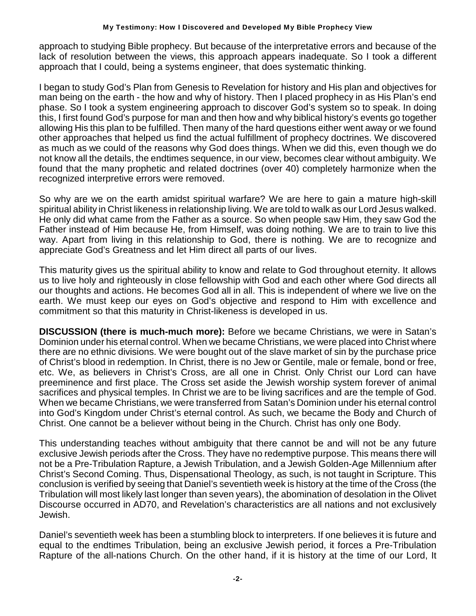approach to studying Bible prophecy. But because of the interpretative errors and because of the lack of resolution between the views, this approach appears inadequate. So I took a different approach that I could, being a systems engineer, that does systematic thinking.

I began to study God's Plan from Genesis to Revelation for history and His plan and objectives for man being on the earth - the how and why of history. Then I placed prophecy in as His Plan's end phase. So I took a system engineering approach to discover God's system so to speak. In doing this, I first found God's purpose for man and then how and why biblical history's events go together allowing His this plan to be fulfilled. Then many of the hard questions either went away or we found other approaches that helped us find the actual fulfillment of prophecy doctrines. We discovered as much as we could of the reasons why God does things. When we did this, even though we do not know all the details, the endtimes sequence, in our view, becomes clear without ambiguity. We found that the many prophetic and related doctrines (over 40) completely harmonize when the recognized interpretive errors were removed.

So why are we on the earth amidst spiritual warfare? We are here to gain a mature high-skill spiritual ability in Christ likeness in relationship living. We are told to walk as our Lord Jesus walked. He only did what came from the Father as a source. So when people saw Him, they saw God the Father instead of Him because He, from Himself, was doing nothing. We are to train to live this way. Apart from living in this relationship to God, there is nothing. We are to recognize and appreciate God's Greatness and let Him direct all parts of our lives.

This maturity gives us the spiritual ability to know and relate to God throughout eternity. It allows us to live holy and righteously in close fellowship with God and each other where God directs all our thoughts and actions. He becomes God all in all. This is independent of where we live on the earth. We must keep our eyes on God's objective and respond to Him with excellence and commitment so that this maturity in Christ-likeness is developed in us.

**DISCUSSION (there is much-much more):** Before we became Christians, we were in Satan's Dominion under his eternal control. When we became Christians, we were placed into Christ where there are no ethnic divisions. We were bought out of the slave market of sin by the purchase price of Christ's blood in redemption. In Christ, there is no Jew or Gentile, male or female, bond or free, etc. We, as believers in Christ's Cross, are all one in Christ. Only Christ our Lord can have preeminence and first place. The Cross set aside the Jewish worship system forever of animal sacrifices and physical temples. In Christ we are to be living sacrifices and are the temple of God. When we became Christians, we were transferred from Satan's Dominion under his eternal control into God's Kingdom under Christ's eternal control. As such, we became the Body and Church of Christ. One cannot be a believer without being in the Church. Christ has only one Body.

This understanding teaches without ambiguity that there cannot be and will not be any future exclusive Jewish periods after the Cross. They have no redemptive purpose. This means there will not be a Pre-Tribulation Rapture, a Jewish Tribulation, and a Jewish Golden-Age Millennium after Christ's Second Coming. Thus, Dispensational Theology, as such, is not taught in Scripture. This conclusion is verified by seeing that Daniel's seventieth week is history at the time of the Cross (the Tribulation will most likely last longer than seven years), the abomination of desolation in the Olivet Discourse occurred in AD70, and Revelation's characteristics are all nations and not exclusively Jewish.

Daniel's seventieth week has been a stumbling block to interpreters. If one believes it is future and equal to the endtimes Tribulation, being an exclusive Jewish period, it forces a Pre-Tribulation Rapture of the all-nations Church. On the other hand, if it is history at the time of our Lord, It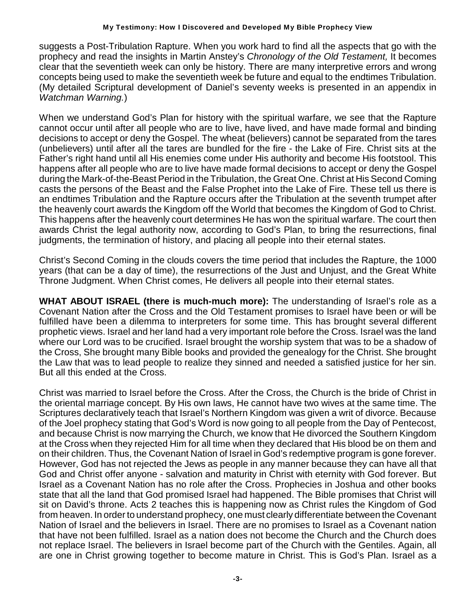## **My Testimony: How I Discovered and Developed My Bible Prophecy View**

suggests a Post-Tribulation Rapture. When you work hard to find all the aspects that go with the prophecy and read the insights in Martin Anstey's *Chronology of the Old Testament,* It becomes clear that the seventieth week can only be history. There are many interpretive errors and wrong concepts being used to make the seventieth week be future and equal to the endtimes Tribulation. (My detailed Scriptural development of Daniel's seventy weeks is presented in an appendix in *Watchman Warning.*)

When we understand God's Plan for history with the spiritual warfare, we see that the Rapture cannot occur until after all people who are to live, have lived, and have made formal and binding decisions to accept or deny the Gospel. The wheat (believers) cannot be separated from the tares (unbelievers) until after all the tares are bundled for the fire - the Lake of Fire. Christ sits at the Father's right hand until all His enemies come under His authority and become His footstool. This happens after all people who are to live have made formal decisions to accept or deny the Gospel during the Mark-of-the-Beast Period in the Tribulation, the Great One. Christ at His Second Coming casts the persons of the Beast and the False Prophet into the Lake of Fire. These tell us there is an endtimes Tribulation and the Rapture occurs after the Tribulation at the seventh trumpet after the heavenly court awards the Kingdom off the World that becomes the Kingdom of God to Christ. This happens after the heavenly court determines He has won the spiritual warfare. The court then awards Christ the legal authority now, according to God's Plan, to bring the resurrections, final judgments, the termination of history, and placing all people into their eternal states.

Christ's Second Coming in the clouds covers the time period that includes the Rapture, the 1000 years (that can be a day of time), the resurrections of the Just and Unjust, and the Great White Throne Judgment. When Christ comes, He delivers all people into their eternal states.

**WHAT ABOUT ISRAEL (there is much-much more):** The understanding of Israel's role as a Covenant Nation after the Cross and the Old Testament promises to Israel have been or will be fulfilled have been a dilemma to interpreters for some time. This has brought several different prophetic views. Israel and her land had a very important role before the Cross. Israel was the land where our Lord was to be crucified. Israel brought the worship system that was to be a shadow of the Cross, She brought many Bible books and provided the genealogy for the Christ. She brought the Law that was to lead people to realize they sinned and needed a satisfied justice for her sin. But all this ended at the Cross.

Christ was married to Israel before the Cross. After the Cross, the Church is the bride of Christ in the oriental marriage concept. By His own laws, He cannot have two wives at the same time. The Scriptures declaratively teach that Israel's Northern Kingdom was given a writ of divorce. Because of the Joel prophecy stating that God's Word is now going to all people from the Day of Pentecost, and because Christ is now marrying the Church, we know that He divorced the Southern Kingdom at the Cross when they rejected Him for all time when they declared that His blood be on them and on their children. Thus, the Covenant Nation of Israel in God's redemptive program is gone forever. However, God has not rejected the Jews as people in any manner because they can have all that God and Christ offer anyone - salvation and maturity in Christ with eternity with God forever. But Israel as a Covenant Nation has no role after the Cross. Prophecies in Joshua and other books state that all the land that God promised Israel had happened. The Bible promises that Christ will sit on David's throne. Acts 2 teaches this is happening now as Christ rules the Kingdom of God from heaven. In order to understand prophecy, one must clearly differentiate between the Covenant Nation of Israel and the believers in Israel. There are no promises to Israel as a Covenant nation that have not been fulfilled. Israel as a nation does not become the Church and the Church does not replace Israel. The believers in Israel become part of the Church with the Gentiles. Again, all are one in Christ growing together to become mature in Christ. This is God's Plan. Israel as a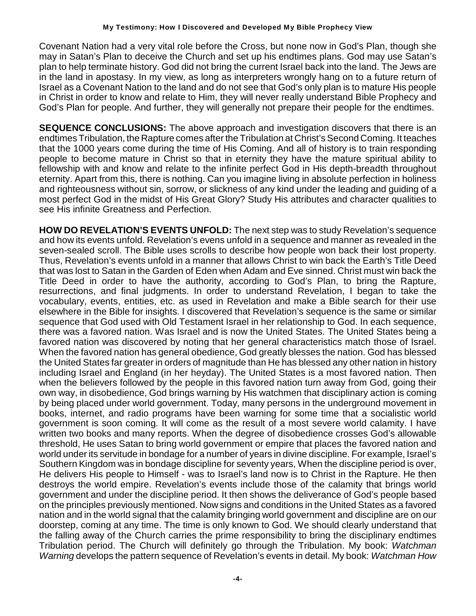Covenant Nation had a very vital role before the Cross, but none now in God's Plan, though she may in Satan's Plan to deceive the Church and set up his endtimes plans. God may use Satan's plan to help terminate history. God did not bring the current Israel back into the land. The Jews are in the land in apostasy. In my view, as long as interpreters wrongly hang on to a future return of Israel as a Covenant Nation to the land and do not see that God's only plan is to mature His people in Christ in order to know and relate to Him, they will never really understand Bible Prophecy and God's Plan for people. And further, they will generally not prepare their people for the endtimes.

**SEQUENCE CONCLUSIONS:** The above approach and investigation discovers that there is an endtimes Tribulation, the Rapture comes after the Tribulation at Christ's Second Coming. It teaches that the 1000 years come during the time of His Coming. And all of history is to train responding people to become mature in Christ so that in eternity they have the mature spiritual ability to fellowship with and know and relate to the infinite perfect God in His depth-breadth throughout eternity. Apart from this, there is nothing. Can you imagine living in absolute perfection in holiness and righteousness without sin, sorrow, or slickness of any kind under the leading and guiding of a most perfect God in the midst of His Great Glory? Study His attributes and character qualities to see His infinite Greatness and Perfection.

**HOW DO REVELATION'S EVENTS UNFOLD:** The next step was to study Revelation's sequence and how its events unfold. Revelation's evens unfold in a sequence and manner as revealed in the seven-sealed scroll. The Bible uses scrolls to describe how people won back their lost property. Thus, Revelation's events unfold in a manner that allows Christ to win back the Earth's Title Deed that was lost to Satan in the Garden of Eden when Adam and Eve sinned. Christ must win back the Title Deed in order to have the authority, according to God's Plan, to bring the Rapture, resurrections, and final judgments. In order to understand Revelation, I began to take the vocabulary, events, entities, etc. as used in Revelation and make a Bible search for their use elsewhere in the Bible for insights. I discovered that Revelation's sequence is the same or similar sequence that God used with Old Testament Israel in her relationship to God. In each sequence, there was a favored nation. Was Israel and is now the United States. The United States being a favored nation was discovered by noting that her general characteristics match those of Israel. When the favored nation has general obedience, God greatly blesses the nation. God has blessed the United States far greater in orders of magnitude than He has blessed any other nation in history including Israel and England (in her heyday). The United States is a most favored nation. Then when the believers followed by the people in this favored nation turn away from God, going their own way, in disobedience, God brings warning by His watchmen that disciplinary action is coming by being placed under world government. Today, many persons in the underground movement in books, internet, and radio programs have been warning for some time that a socialistic world government is soon coming. It will come as the result of a most severe world calamity. I have written two books and many reports. When the degree of disobedience crosses God's allowable threshold, He uses Satan to bring world government or empire that places the favored nation and world under its servitude in bondage for a number of years in divine discipline. For example, Israel's Southern Kingdom was in bondage discipline for seventy years, When the discipline period is over, He delivers His people to Himself - was to Israel's land now is to Christ in the Rapture. He then destroys the world empire. Revelation's events include those of the calamity that brings world government and under the discipline period. It then shows the deliverance of God's people based on the principles previously mentioned. Now signs and conditions in the United States as a favored nation and in the world signal that the calamity bringing world government and discipline are on our doorstep, coming at any time. The time is only known to God. We should clearly understand that the falling away of the Church carries the prime responsibility to bring the disciplinary endtimes Tribulation period. The Church will definitely go through the Tribulation. My book: *Watchman Warning* develops the pattern sequence of Revelation's events in detail. My book: *Watchman How*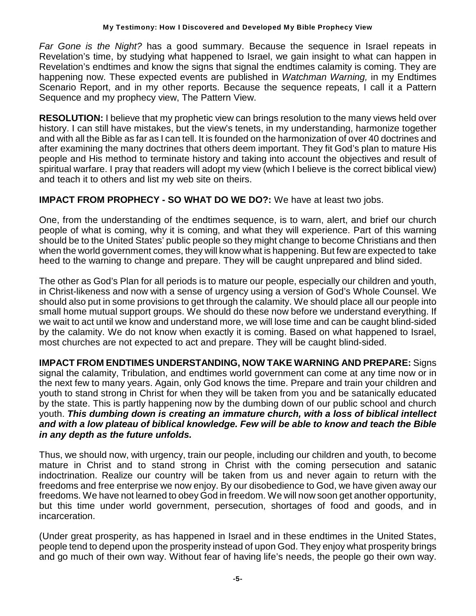*Far Gone is the Night?* has a good summary. Because the sequence in Israel repeats in Revelation's time, by studying what happened to Israel, we gain insight to what can happen in Revelation's endtimes and know the signs that signal the endtimes calamity is coming. They are happening now. These expected events are published in *Watchman Warning,* in my Endtimes Scenario Report, and in my other reports. Because the sequence repeats, I call it a Pattern Sequence and my prophecy view, The Pattern View.

**RESOLUTION:** I believe that my prophetic view can brings resolution to the many views held over history. I can still have mistakes, but the view's tenets, in my understanding, harmonize together and with all the Bible as far as I can tell. It is founded on the harmonization of over 40 doctrines and after examining the many doctrines that others deem important. They fit God's plan to mature His people and His method to terminate history and taking into account the objectives and result of spiritual warfare. I pray that readers will adopt my view (which I believe is the correct biblical view) and teach it to others and list my web site on theirs.

## **IMPACT FROM PROPHECY - SO WHAT DO WE DO?:** We have at least two jobs.

One, from the understanding of the endtimes sequence, is to warn, alert, and brief our church people of what is coming, why it is coming, and what they will experience. Part of this warning should be to the United States' public people so they might change to become Christians and then when the world government comes, they will know what is happening. But few are expected to take heed to the warning to change and prepare. They will be caught unprepared and blind sided.

The other as God's Plan for all periods is to mature our people, especially our children and youth, in Christ-likeness and now with a sense of urgency using a version of God's Whole Counsel. We should also put in some provisions to get through the calamity. We should place all our people into small home mutual support groups. We should do these now before we understand everything. If we wait to act until we know and understand more, we will lose time and can be caught blind-sided by the calamity. We do not know when exactly it is coming. Based on what happened to Israel, most churches are not expected to act and prepare. They will be caught blind-sided.

**IMPACT FROM ENDTIMES UNDERSTANDING, NOW TAKE WARNING AND PREPARE:** Signs signal the calamity, Tribulation, and endtimes world government can come at any time now or in the next few to many years. Again, only God knows the time. Prepare and train your children and youth to stand strong in Christ for when they will be taken from you and be satanically educated by the state. This is partly happening now by the dumbing down of our public school and church youth. *This dumbing down is creating an immature church, with a loss of biblical intellect and with a low plateau of biblical knowledge. Few will be able to know and teach the Bible in any depth as the future unfolds.*

Thus, we should now, with urgency, train our people, including our children and youth, to become mature in Christ and to stand strong in Christ with the coming persecution and satanic indoctrination. Realize our country will be taken from us and never again to return with the freedoms and free enterprise we now enjoy. By our disobedience to God, we have given away our freedoms. We have not learned to obey God in freedom. We will now soon get another opportunity, but this time under world government, persecution, shortages of food and goods, and in incarceration.

(Under great prosperity, as has happened in Israel and in these endtimes in the United States, people tend to depend upon the prosperity instead of upon God. They enjoy what prosperity brings and go much of their own way. Without fear of having life's needs, the people go their own way.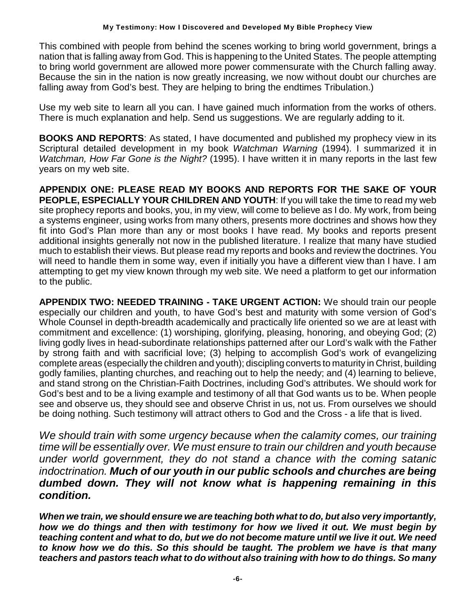This combined with people from behind the scenes working to bring world government, brings a nation that is falling away from God. This is happening to the United States. The people attempting to bring world government are allowed more power commensurate with the Church falling away. Because the sin in the nation is now greatly increasing, we now without doubt our churches are falling away from God's best. They are helping to bring the endtimes Tribulation.)

Use my web site to learn all you can. I have gained much information from the works of others. There is much explanation and help. Send us suggestions. We are regularly adding to it.

**BOOKS AND REPORTS**: As stated, I have documented and published my prophecy view in its Scriptural detailed development in my book *Watchman Warning* (1994). I summarized it in *Watchman, How Far Gone is the Night?* (1995). I have written it in many reports in the last few years on my web site.

**APPENDIX ONE: PLEASE READ MY BOOKS AND REPORTS FOR THE SAKE OF YOUR PEOPLE, ESPECIALLY YOUR CHILDREN AND YOUTH**: If you will take the time to read my web site prophecy reports and books, you, in my view, will come to believe as I do. My work, from being a systems engineer, using works from many others, presents more doctrines and shows how they fit into God's Plan more than any or most books I have read. My books and reports present additional insights generally not now in the published literature. I realize that many have studied much to establish their views. But please read my reports and books and review the doctrines. You will need to handle them in some way, even if initially you have a different view than I have. I am attempting to get my view known through my web site. We need a platform to get our information to the public.

**APPENDIX TWO: NEEDED TRAINING - TAKE URGENT ACTION:** We should train our people especially our children and youth, to have God's best and maturity with some version of God's Whole Counsel in depth-breadth academically and practically life oriented so we are at least with commitment and excellence: (1) worshiping, glorifying, pleasing, honoring, and obeying God; (2) living godly lives in head-subordinate relationships patterned after our Lord's walk with the Father by strong faith and with sacrificial love; (3) helping to accomplish God's work of evangelizing complete areas (especially the children and youth); discipling converts to maturity in Christ, building godly families, planting churches, and reaching out to help the needy; and (4) learning to believe, and stand strong on the Christian-Faith Doctrines, including God's attributes. We should work for God's best and to be a living example and testimony of all that God wants us to be. When people see and observe us, they should see and observe Christ in us, not us. From ourselves we should be doing nothing. Such testimony will attract others to God and the Cross - a life that is lived.

*We should train with some urgency because when the calamity comes, our training time will be essentially over. We must ensure to train our children and youth because under world government, they do not stand a chance with the coming satanic indoctrination. Much of our youth in our public schools and churches are being dumbed down. They will not know what is happening remaining in this condition.*

*When we train, we should ensure we are teaching both what to do, but also very importantly, how we do things and then with testimony for how we lived it out. We must begin by teaching content and what to do, but we do not become mature until we live it out. We need to know how we do this. So this should be taught. The problem we have is that many teachers and pastors teach what to do without also training with how to do things. So many*